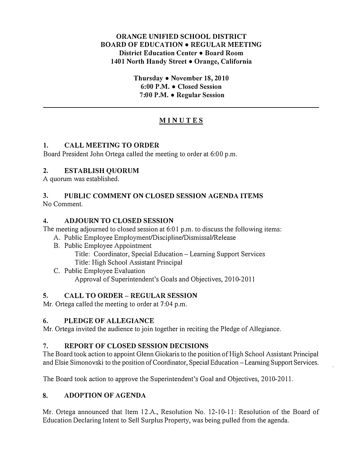### ORANGE UNIFIED SCHOOL DISTRICT BOARD OF EDUCATION • REGULAR MEETING District Education Center • Board Room 1401 North Handy Street • Orange, California

Thursday • November 18, 2010 6:00 P.M. • Closed Session 7:00 P.M. • Regular Session

# MINUTE S

### 1. CALL MEETING TO ORDER

Board President John Ortega called the meeting to order at 6:00 p.m.

### 2. ESTABLISH QUORUM

A quorum was established.

# 3. PUBLIC COMMENT ON CLOSED SESSION AGENDA ITEMS

No Comment.

### 4. ADJOURN TO CLOSED SESSION

The meeting adjourned to closed session at 6:01 p.m. to discuss the following items:

- A. Public Employee Employment/Discipline/Dismissal/Release
- B. Public Employee Appointment

Title: Coordinator, Special Education- Learning Support Services Title: High School Assistant Principal

C. Public Employee Evaluation

Approval of Superintendent's Goals and Objectives, 2010-201 I

# 5. CALL TO ORDER- REGULAR SESSION

Mr. Ortega called the meeting to order at 7:04 p.m.

# 6. PLEDGE OF ALLEGIANCE

Mr. Ortega invited the audience to join together in reciting the Pledge of Allegiance.

# 7. REPORT OF CLOSED SESSION DECISIONS

The Board took action to appoint Glenn Giokaris to the position of High School Assistant Principal and Elsie Simonovski to the position of Coordinator, Special Education-Learning Support Services.

The Board took action to approve the Superintendent's Goal and Objectives, 2010-2011.

# 8. ADOPTION OF AGENDA

Mr. Ortega announced that Item 12.A., Resolution No. 12-10-11: Resolution of the Board of Education Declaring Intent to Sell Surplus Property, was being pulled from the agenda.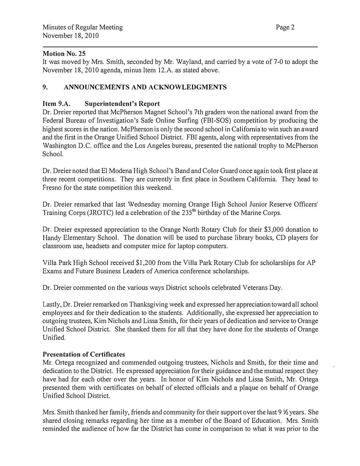#### Motion No. 25

It was moved by Mrs. Smith, seconded by Mr. Wayland, and carried by a vote of 7-0 to adopt the November 18, 2010 agenda, minus Item 12.A. as stated above.

### 9. ANNOUNCEMENTS AND ACKNOWLEDGMENTS

#### Item 9.A. Superintendent's Report

Dr. Dreier reported that McPherson Magnet School's 7th graders won the national award from the Federal Bureau of Investigation's Safe Online Surfing (FBI-SOS) competition by producing the highest scores in the nation. McPherson is only the second school in California to win such an award and the first in the Orange Unified School District. FBI agents, along with representatives from the Washington D.C. office and the Los Angeles bureau, presented the national trophy to McPherson School.

Dr. Dreier noted that El Modena High School's Band and Color Guard once again took first place at three recent competitions. They are currently in first place in Southern California. They head to Fresno for the state competition this weekend.

Dr. Dreier remarked that last Wednesday morning Orange High School Junior Reserve Officers' Training Corps (JROTC) led a celebration of the 235<sup>th</sup> birthday of the Marine Corps.

Dr. Dreier expressed appreciation to the Orange North Rotary Club for their \$3,000 donation to Handy Elementary School. The donation will be used to purchase library books, CD players for classroom use, headsets and computer mice for laptop computers.

Villa Park High School received \$1,200 from the Villa Park Rotary Club for scholarships for AP Exams and Future Business Leaders of America conference scholarships.

Dr. Dreier commented on the various ways District schools celebrated Veterans Day.

Lastly, Dr. Dreier remarked on Thanksgiving week and expressed her appreciation toward all school employees and for their dedication to the students. Additionally, she expressed her appreciation to outgoing trustees, Kim Nichols and Lissa Smith, for their years of dedication and service to Orange Unified School District. She thanked them for all that they have done for the students of Orange Unified.

#### Presentation of Certificates

Mr. Ortega recognized and commended outgoing trustees, Nichols and Smith, for their time and dedication to the District. He expressed appreciation for their guidance and the mutual respect they have had for each other over the years. In honor of Kim Nichols and Lissa Smith, Mr. Ortega presented them with certificates on behalf of elected officials and a plaque on behalf of Orange Unified School District.

Mrs. Smith thanked her family, friends and community for their support over the last 9  $\frac{1}{2}$  years. She shared closing remarks regarding her time as a member of the Board of Education. Mrs. Smith reminded the audience of how far the District has come in comparison to what it was prior to the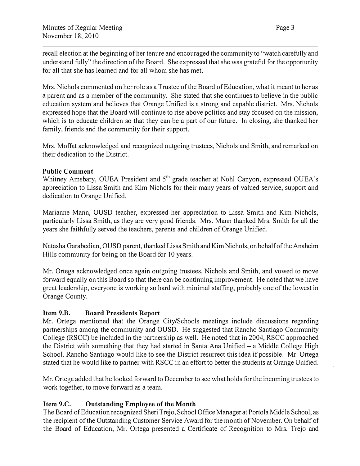recall election at the beginning of her tenure and encouraged the community to "watch carefully and understand fully" the direction of the Board. She expressed that she was grateful for the opportunity for all that she has learned and for all whom she has met.

Mrs. Nichols commented on her role as a Trustee of the Board of Education, what it meant to her as a parent and as a member of the community. She stated that she continues to believe in the public education system and believes that Orange Unified is a strong and capable district. Mrs. Nichols expressed hope that the Board will continue to rise above politics and stay focused on the mission, which is to educate children so that they can be a part of our future. In closing, she thanked her family, friends and the community for their support.

Mrs. Moffat acknowledged and recognized outgoing trustees, Nichols and Smith, and remarked on their dedication to the District.

#### Public Comment

Whitney Amsbary, OUEA President and 5<sup>th</sup> grade teacher at Nohl Canyon, expressed OUEA's appreciation to Lissa Smith and Kim Nichols for their many years of valued service, support and dedication to Orange Unified.

Marianne Mann, OUSD teacher, expressed her appreciation to Lissa Smith and Kim Nichols, particularly Lissa Smith, as they are very good friends. Mrs. Mann thanked Mrs. Smith for all the years she faithfully served the teachers, parents and children of Orange Unified.

Natasha Garabedian, OUSD parent, thanked Lissa Smith and Kim Nichols, on behalf of the Anaheim Hills community for being on the Board for 10 years.

Mr. Ortega acknowledged once again outgoing trustees, Nichols and Smith, and vowed to move forward equally on this Board so that there can be continuing improvement. He noted that we have great leadership, everyone is working so hard with minimal staffing, probably one of the lowest in Orange County.

#### Item 9.B. Board Presidents Report

Mr. Ortega mentioned that the Orange City/Schools meetings include discussions regarding partnerships among the community and OUSD. He suggested that Rancho Santiago Community College (RSCC) be included in the partnership as well. He noted that in 2004, RSCC approached the District with something that they had started in Santa Ana Unified  $-$  a Middle College High School. Rancho Santiago would like to see the District resurrect this idea if possible. Mr. Ortega stated that he would like to partner with RSCC in an effort to better the students at Orange Unified.

Mr. Ortega added that he looked forward to December to see what holds for the incoming trustees to work together, to move forward as a team.

# Item 9.C. Outstanding Employee of the Month

The Board of Education recognized Sheri Trejo, School Office Manager at Portola Middle School, as the recipient of the Outstanding Customer Service Award for the month of November. On behalf of the Board of Education, Mr. Ortega presented a Certificate of Recognition to Mrs. Trejo and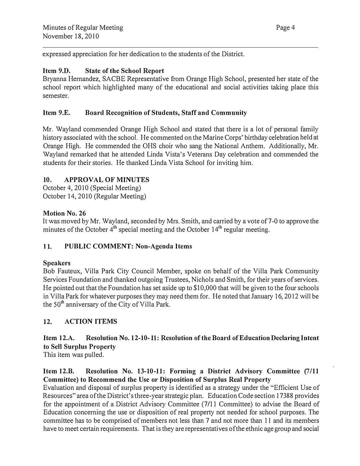expressed appreciation for her dedication to the students of the District.

### Item 9.D. State of the School Report

Bryanna Hernandez, SACBE Representative from Orange High School, presented her state of the school report which highlighted many of the educational and social activities taking place this semester.

### Item 9.E. Board Recognition of Students, Staff and Community

Mr. Wayland commended Orange High School and stated that there is a lot of personal family history associated with the school. He commented on the Marine Corps' birthday celebration held at Orange High. He commended the OHS choir who sang the National Anthem. Additionally, Mr. Wayland remarked that he attended Linda Vista's Veterans Day celebration and commended the students for their stories. He thanked Linda Vista School for inviting him.

### 10. APPROVAL OF MINUTES

October 4, 2010 (Special Meeting) October 14, 2010 (Regular Meeting)

### Motion No. 26

It was moved by Mr. Wayland, seconded by Mrs. Smith, and carried by a vote of 7-0 to approve the minutes of the October  $4<sup>th</sup>$  special meeting and the October 14<sup>th</sup> regular meeting. 1

# 11. PUBLIC COMMENT: Non-Agenda Items

#### **Speakers**

Bob Fauteux, Villa Park City Council Member, spoke on behalf of the Villa Park Community Services Foundation and thanked outgoing Trustees, Nichols and Smith, for their years of services. He pointed out that the Foundation has set aside up to \$10,000 that will be given to the four schools in Villa Park for whatever purposes they may need them for. He noted that January 16, 2012 will be the 50<sup>th</sup> anniversary of the City of Villa Park.

# 12. ACTION ITEMS

# Item 12.A. Resolution No. 12-10-11: Resolution of the Board of Education Declaring Intent to Sell Surplus Property

This item was pulled.

### Item 12.B. Resolution No. 13-10-11: Forming a District Advisory Committee (7/11 Committee) to Recommend the Use or Disposition of Surplus Real Property

Evaluation and disposal of surplus property is identified as a strategy under the "Efficient Use of Resources" area of the District's three-year strategic plan. Education Code section 17388 provides for the appointment of a District Advisory Committee (7/11 Committee) to advise the Board of Education concerning the use or disposition of real property not needed for school purposes. The committee has to be comprised of members not less than 7 and not more than 11 and its members have to meet certain requirements. That is they are representatives of the ethnic age group and social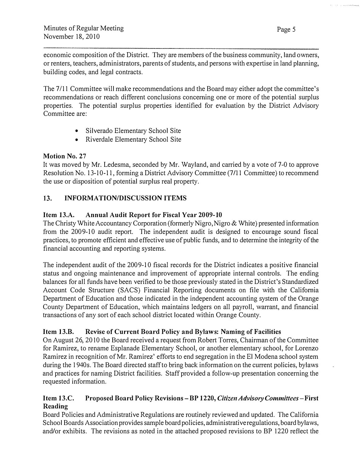economic composition of the District. They are members of the business community, land owners, or renters, teachers, administrators, parents of students, and persons with expertise in land planning, building codes, and legal contracts.

The 7111 Committee will make recommendations and the Board may either adopt the committee's recommendations or reach different conclusions concerning one or more of the potential surplus properties. The potential surplus properties identified for evaluation by the District Advisory Committee are:

- Silverado Elementary School Site
- Riverdale Elementary School Site

### Motion No. 27

It was moved by Mr. Ledesma, seconded by Mr. Wayland, and carried by a vote of 7-0 to approve Resolution No. 13-10-11, forming a District Advisory Committee (7/11 Committee) to recommend the use or disposition of potential surplus real property.

# 13. INFORMATION/DISCUSSION ITEMS

# Item 13.A. Annual Audit Report for Fiscal Year 2009-10

The Christy White Accountancy Corporation (formerly Nigro, Nigro & White) presented information from the 2009-10 audit report. The independent audit is designed to encourage sound fiscal practices, to promote efficient and effective use of public funds, and to determine the integrity of the financial accounting and reporting systems.

The independent audit of the 2009-10 fiscal records for the District indicates a positive financial status and ongoing maintenance and improvement of appropriate internal controls. The ending balances for all funds have been verified to be those previously stated in the District's Standardized Account Code Structure (SACS) Financial Reporting documents on file with the California Department of Education and those indicated in the independent accounting system of the Orange County Department of Education, which maintains ledgers on all payroll, warrant, and financial transactions of any sort of each school district located within Orange County.

# Item 13.B. Revise of Current Board Policy and Bylaws: Naming of Facilities

On August 26, 2010 the Board received a request from Robert Torres, Chairman of the Committee for Ramirez, to rename Esplanade Elementary School, or another elementary school, for Lorenzo Ramirez in recognition of Mr. Ramirez' efforts to end segregation in the El Modena school system during the 1940s. The Board directed staff to bring back information on the current policies, bylaws and practices for naming District facilities. Staff provided a follow-up presentation concerning the requested information.

#### Item13.C. Proposed Board Policy Revisions- BP 1220, Citizen Advisory Committees-First Reading

Board Policies and Administrative Regulations are routinely reviewed and updated. The California School Boards Association provides sample board policies, administrative regulations, board bylaws, and/or exhibits. The revisions as noted in the attached proposed revisions to BP 1220 reflect the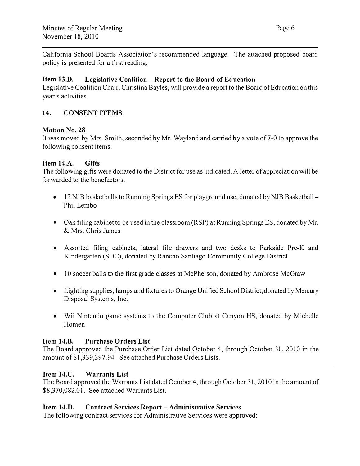California School Boards Association's recommended language. The attached proposed board policy is presented for a first reading.

### Item  $13.D.$  Legislative Coalition – Report to the Board of Education

Legislative Coalition Chair, Christina Bayles, will provide a report to the Board of Education on this year's activities.

### 14. CONSENT ITEMS

#### Motion No. 28

It was moved by Mrs. Smith, seconded by Mr. Wayland and carried by a vote of 7-0 to approve the following consent items.

#### Item 14.A. Gifts

The following gifts were donated to the District for use as indicated. A letter of appreciation will be forwarded to the benefactors.

- 12 NJB basketballs to Running Springs ES for playground use, donated by NJB Basketball Phil Lembo
- Oak filing cabinet to be used in the classroom (RSP) at Running Springs ES, donated by Mr. & Mrs. Chris James
- Assorted filing cabinets, lateral file drawers and two desks to Parkside Pre-K and Kindergarten (SDC), donated by Rancho Santiago Community College District
- 10 soccer balls to the first grade classes at McPherson, donated by Ambrose McGraw
- Lighting supplies, lamps and fixtures to Orange Unified School District, donated by Mercury Disposal Systems, Inc.
- Wii Nintendo game systems to the Computer Club at Canyon HS, donated by Michelle Homen

#### Item 14.B. Purchase Orders List

The Board approved the Purchase Order List dated October 4, through October 31, 2010 in the amount of \$1,339,397.94. See attached Purchase Orders Lists.

#### Item 14.C. Warrants List

The Board approved the Warrants List dated October 4, through October 31, 2010 in the amount of \$8,370,082.01. See attached Warrants List.

#### Item 14.D. Contract Services Report- Administrative Services

The following contract services for Administrative Services were approved: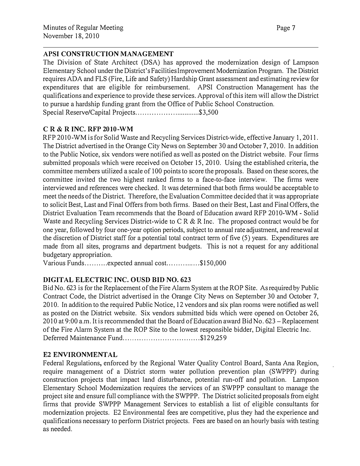### APSI CONSTRUCTION MANAGEMENT

The Division of State Architect (DSA) has approved the modernization design of Lampson Elementary School under the District's Facilities Improvement Modemization Program. The District requires ADA and FLS (Fire, Life and Safety) Hardship Grant assessment and estimating review for expenditures that are eligible for reimbursement. APSI Construction Management has the qualifications and experience to provide these services. Approval of this item will allow the District to pursue a hardship funding grant from the Office of Public School Construction. Special Reserve/Capital Projects .............................. \$3, 500

### C R & R INC. RFP 2010-WM

RFP 2010-WM is for Solid Waste and Recycling Services District-wide, effective January 1, 2011. The District advertised in the Orange City News on September 30 and October 7, 2010. In addition to the Public Notice, six vendors were notified as well as posted on the District website. Four firms submitted proposals which were received on October 15, 2010. Using the established criteria, the committee members utilized a scale of I 00 points to score the proposals. Based on these scores, the committee invited the two highest ranked firms to a face-to-face interview. The firms were interviewed and references were checked. It was determined that both firms would be acceptable to meet the needs of the District. Therefore, the Evaluation Committee decided that it was appropriate to solicit Best, Last and Final Offers from both firms. Based on their Best, Last and Final Offers, the District Evaluation Team recommends that the Board of Education award RFP 2010-WM - Solid Waste and Recycling Services District-wide to C R & R Inc. The proposed contract would be for one year, followed by four one-year option periods, subject to annual rate adjustment, and renewal at the discretion of District staff for a potential total contract term of five (5) years. Expenditures are made from all sites, programs and department budgets. This is not a request for any additional budgetary appropriation.

Various Funds..........expected annual cost..............\$150,000

# DIGITAL ELECTRIC INC. OUSD BID NO. 623

Bid No. 623 is for the Replacement of the Fire Alarm System at the ROP Site. As required by Public Contract Code, the District advertised in the Orange City News on September 30 and October 7, 2010. In addition to the required Public Notice, 12 vendors and six plan rooms were notified as well as posted on the District website. Six vendors submitted bids which were opened on October 26, 2010 at 9:00 a.m. It is recommended that the Board of Education award Bid No. 623 – Replacement of the Fire Alarm System at the ROP Site to the lowest responsible bidder, Digital Electric Inc. Deferred Maintenance Fund.................................\$129,259

#### E2 ENVIRONMENTAL

Federal Regulations, enforced by the Regional Water Quality Control Board, Santa Ana Region, require management of a District storm water pollution prevention plan (SWPPP) during construction projects that impact land disturbance, potential run-off and pollution. Lampson Elementary School Modernization requires the services of an SWPPP consultant to manage the project site and ensure full compliance with the SWPPP. The District solicited proposals from eight firms that provide SWPPP Management Services to establish a list of eligible consultants for modernization projects. E2 Environmental fees are competitive, plus they had the experience and qualifications necessary to perform District projects. Fees are based on an hourly basis with testing as needed.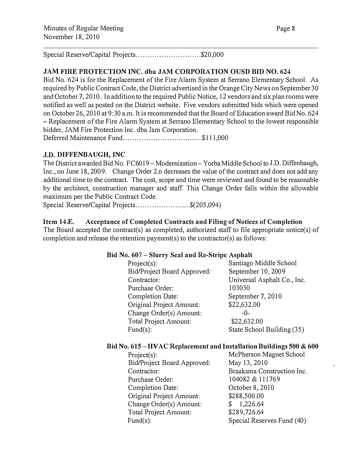#### Special Reserve/Capital Projects................................\$20,000

#### JAM FIRE PROTECTION INC. dba JAM CORPORATION OUSD BID NO. 624

Bid No. 624 is for the Replacement of the Fire Alarm System at Serrano Elementary School. As required by Public Contract Code, the District advertised in the Orange City News on September 30 and October 7, 2010. In addition to the required Public Notice, 12 vendors and six plan rooms were notified as well as posted on the District website. Five vendors submitted bids which were opened on October 26, 2010 at 9:30 a.m. It is recommended that the Board of Education award Bid No. 624 -Replacement of the Fire Alarm System at Serrano Elementary School to the lowest responsible bidder, JAM Fire Protection Inc. dba Jam Corporation. Deferred Maintenance Fund ................... ........ ........ \$ 111 ,000

#### J.D. DIFFENBAUGH, INC

The District awarded Bid No. FC6019 - Modernization - Yorba Middle School to J.D. Diffenbaugh, Inc., on June 18, 2009. Change Order 2.n decreases the value of the contract and does not add any additional time to the contract. The cost, scope and time were reviewed and found to be reasonable by the architect, construction manager and staff. This Change Order falls within the allowable maximum per the Public Contract Code.

Special Reserve/Capital Projects...............................\$(205,094)

#### Item 14.E. Acceptance of Completed Contracts and Filing of Notices of Completion

The Board accepted the contract(s) as completed, authorized staff to file appropriate notice(s) of completion and release the retention payment(s) to the contractor(s) as follows:

#### Bid No. 607 – Slurry Seal and Re-Stripe Asphalt

| Project(s):                 | Santiago Middle School      |
|-----------------------------|-----------------------------|
| Bid/Project Board Approved: | September 10, 2009          |
| Contractor:                 | Universal Asphalt Co., Inc. |
| Purchase Order:             | 103030                      |
| Completion Date:            | September 7, 2010           |
| Original Project Amount:    | \$22,632.00                 |
| Change Order(s) Amount:     | -0-                         |
| Total Project Amount:       | \$22,632.00                 |
| $Fund(s)$ :                 | State School Building (35)  |

#### Bid No. 615- HVAC Replacement and Installation Buildings 500 & 600

Project(s): McPherson Magnet School Bid/Project Board Approved: May 13, 2010 Contractor: Braaksma Construction Inc. Purchase Order: 104082 & 111769 Completion Date: Original Project Amount: Change Order(s) Amount: Total Project Amount: Fund(s):

October 8, 2010 \$288,500.00 \$ 1,226.64 \$289,726.64 Special Reserves Fund (40)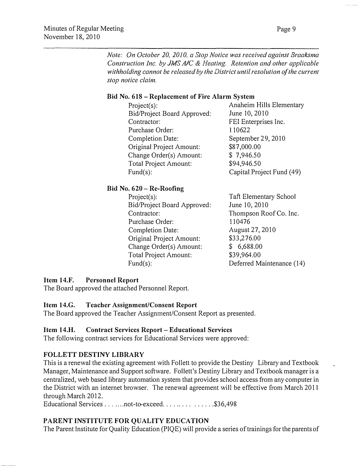Note: On October 20, 2010, a Stop Notice was received against Braaksma Construction Inc. by JMS A/C & Heating. Retention and other applicable withholding cannot be released by the District until resolution of the current stop notice claim.

#### Bid No. 618- Replacement of Fire Alarm System

| Anaheim Hills Elementary  |  |
|---------------------------|--|
| June 10, 2010             |  |
| FEI Enterprises Inc.      |  |
| 110622                    |  |
| September 29, 2010        |  |
| \$87,000.00               |  |
| \$7,946.50                |  |
| \$94,946.50               |  |
| Capital Project Fund (49) |  |
|                           |  |

#### Bid No. 620-Re-Roofing

Project(s): Bid/Project Board Approved: Contractor: Purchase Order: Completion Date: Original Project Amount: Change Order(s) Amount: Total Project Amount: Fund(s):

Taft Elementary School June 10, 2010 Thompson Roof Co. Inc. 110476 August 27, 2010 \$33,276.00 \$ 6,688.00 \$39,964.00 Deferred Maintenance ( 14)

#### Item 14.F. Personnel Report

The Board approved the attached Personnel Report

#### Item 14.G. Teacher Assignment/Consent Report

The Board approved the Teacher Assignment/Consent Report as presented.

#### Item 14.H. Contract Services Report -Educational Services

The following contract services for Educational Services were approved:

# FOLLETT DESTINY LIBRARY

This is a renewal the existing agreement with Follett to provide the Destiny Library and Textbook Manager, Maintenance and Support software. Follett's Destiny Library and Textbook manager is a centralized, web based library automation system that provides school access from any computer in the District with an internet browser. The renewal agreement will be effective from March 20 II through March 2012.

Educational Services . . . . . . . not-to-exceed . . . . . . . . . . . . . . \$36,498

# PARENT INSTITUTE FOR QUALITY EDUCATION

The Parent Institute for Quality Education (PIQE) will provide a series of trainings for the parents of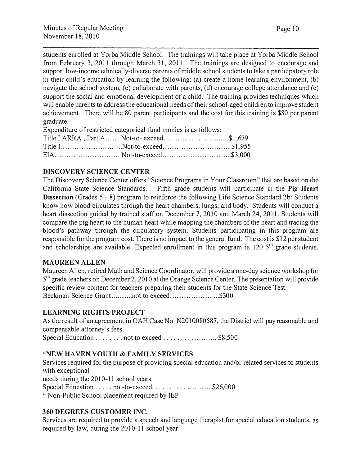students enrolled at Yorba Middle School. The trainings will take place at Yorba Middle School from February 3, 2011 through March 31, 2011. The trainings are designed to encourage and support low-income ethnically-diverse parents of middle school students to take a participatory role in their child's education by learning the following: (a) create a home learning environment, (b) navigate the school system, (c) collaborate with parents, (d) encourage college attendance and (e) support the social and emotional development of a child. The training provides techniques which will enable parents to address the educational needs of their school-aged children to improve student achievement. There will be 80 parent participants and the cost for this training is \$80 per parent graduate.

Expenditure of restricted categorical fund monies is as follows:

| Title I ARRA, Part A Not-to-exceed\$1,679 |  |
|-------------------------------------------|--|
| Title INot-to-exceed\$1,955               |  |
|                                           |  |

# DISCOVERY SCIENCE CENTER

The Discovery Science Center offers "Science Programs in Your Classroom" that are based on the California State Science Standards. Fifth grade students will participate in the Pig Heart Dissection (Grades 5 - 8) program to reinforce the following Life Science Standard 2b: Students know how blood circulates through the heart chambers, lungs, and body. Students will conduct a heart dissection guided by trained staff on December 7, 2010 and March 24, 2011. Students will compare the pig heart to the human heart while mapping the chambers of the heart and tracing the blood's pathway through the circulatory system. Students participating in this program are responsible for the program cost. There is no impact to the general fund. The cost is \$12 per student and scholarships are available. Expected enrollment in this program is 120  $5<sup>th</sup>$  grade students.

#### MAUREEN ALLEN

Maureen Allen, retired Math and Science Coordinator, will provide a one-day science workshop for 5<sup>th</sup> grade teachers on December 2, 2010 at the Orange Science Center. The presentation will provide specific review content for teachers preparing their students for the State Science Test. Beckman Science Grant............not to exceed...........................\$300

# LEARNING RIGHTS PROJECT

As the result of an agreement in OAH Case No. N201 0080587, the District will pay reasonable and compensable attorney's fees.

Special Education . . . . . . . . not to exceed . . . . . . . . . . . . . . . . \$8,500

# \*NEW HAVEN YOUTH & FAMILY SERVICES

Services required for the purpose of providing special education and/or related services to students with exceptional needs during the 2010-11 school years. Special Education . . . . . not-to-exceed. . . . . . . . . . . . . . . . . . \$26,000 \* Non-Public School placement required by IEP

#### 360 DEGREES CUSTOMER INC.

Services are required to provide a speech and language therapist for special education students, as required by law, during the 2010-11 school year.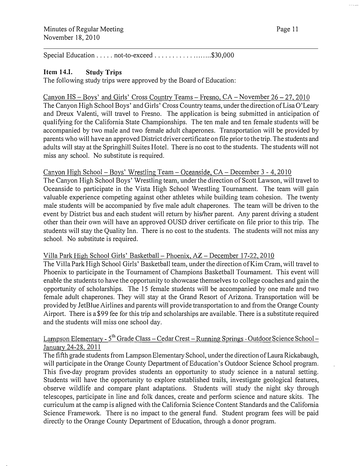Special Education ..... not-to-exceed ............ .... ... \$30,000

#### Item 14.1. Study Trips

The following study trips were approved by the Board of Education:

#### Canyon HS- Boys' and Girls' Cross Country Teams- Fresno, CA- November 26-27,2010 The Canyon High School Boys' and Girls' Cross Country teams, under the direction of Lisa O'Leary and Dreux Valenti, will travel to Fresno. The application is being submitted in anticipation of qualifying for the California State Championships. The ten male and ten female students will be accompanied by two male and two female adult chaperones. Transportation will be provided by parents who will have an approved District driver certificate on file prior to the trip. The students and adults will stay at the Springhill Suites Hotel. There is no cost to the students. The students will not miss any school. No substitute is required.

#### Canyon High School- Boys' Wrestling Team- Oceanside, CA- December 3 - 4, 2010

The Canyon High School Boys' Wrestling team, under the direction of Scott Lawson, will travel to Oceanside to participate in the Vista High School Wrestling Tournament. The team will gain valuable experience competing against other athletes while building team cohesion. The twenty male students will be accompanied by five male adult chaperones. The team will be driven to the event by District bus and each student will return by his/her parent. Any parent driving a student other than their own will have an approved OUSD driver certificate on file prior to this trip. The students will stay the Quality Inn. There is no cost to the students. The students will not miss any school. No substitute is required.

#### Villa Park High School Girls' Basketball - Phoenix, AZ - December 17-22, 2010

The Villa Park High School Girls' Basketball team, under the direction of Kim Cram, will travel to Phoenix to participate in the Tournament of Champions Basketball Tournament. This event will enable the students to have the opportunity to showcase themselves to college coaches and gain the opportunity of scholarships. The 15 female students will be accompanied by one male and two female adult chaperones. They will stay at the Grand Resort of Arizona. Transportation will be provided by JetBlue Airlines and parents will provide transportation to and from the Orange County Airport. There is a \$99 fee for this trip and scholarships are available. There is a substitute required and the students will miss one school day.

#### Lampson Elementary - 5<sup>th</sup> Grade Class – Cedar Crest – Running Springs - Outdoor Science School – January 24-28, 2011

The fifth grade students from Lampson Elementary School, under the direction of Laura Rickabaugh, will participate in the Orange County Department of Education's Outdoor Science School program. This five-day program provides students an opportunity to study science in a natural setting. Students will have the opportunity to explore established trails, investigate geological features, observe wildlife and compare plant adaptations. Students will study the night sky through telescopes, participate in line and folk dances, create and perform science and nature skits. The curriculum at the camp is aligned with the California Science Content Standards and the California Science Framework. There is no impact to the general fund. Student program fees will be paid directly to the Orange County Department of Education, through a donor program.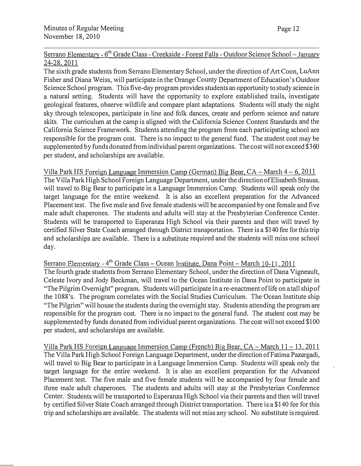Serrano Elementary - 6<sup>th</sup> Grade Class - Creekside - Forest Falls - Outdoor Science School – January 24-28, 2011

The sixth grade students from Serrano Elementary School, under the direction of Art Coon, LuAnn Fisher and Diana Weiss, will participate in the Orange County Department of Education's Outdoor Science School program. This five-day program provides students an opportunity to study science in a natural setting. Students will have the opportunity to explore established trails, investigate geological features, observe wildlife and compare plant adaptations. Students will study the night sky through telescopes, participate in line and folk dances, create and perform science and nature skits. The curriculum at the camp is aligned with the California Science Content Standards and the California Science Framework. Students attending the program from each participating school are responsible for the program cost. There is no impact to the general fund. The student cost may be supplemented by funds donated from individual parent organizations. The cost will not exceed \$360 per student, and scholarships are available.

Villa Park HS Foreign Language Immersion Camp ( German) Big Bear, CA- March 4- 6, 2011 The Villa Park High School Foreign Language Department, under the direction ofElisabeth Strauss, will travel to Big Bear to participate in a Language Immersion Camp. Students will speak only the target language for the entire weekend. It is also an excellent preparation for the Advanced Placement test. The five male and five female students will be accompanied by one female and five male adult chaperones. The students and adults will stay at the Presbyterian Conference Center. Students will be transported to Esperanza High School via their parents and then will travel by certified Silver State Coach arranged through District transportation. There is a \$140 fee for this trip and scholarships are available. There is a substitute required and the students will miss one school day.

Serrano Elementary - 4<sup>th</sup> Grade Class - Ocean Institute, Dana Point - March 10-11, 2011

The fourth grade students from Serrano Elementary School, under the direction of Dana Vigneault, Celeste Ivory and Jody Beckman, will travel to the Ocean Institute in Dana Point to participate in "The Pilgrim Overnight" program. Students will participate in a re-enactment oflife on a tall ship of the 1088's. The program correlates with the Social Studies Curriculum. The Ocean Institute ship "The Pilgrim" will house the students during the overnight stay. Students attending the program are responsible for the program cost. There is no impact to the general fund. The student cost may be supplemented by funds donated from individual parent organizations. The cost will not exceed \$100 per student, and scholarships are available.

Villa Park HS Foreign Language Immersion Camp (French) Big Bear,  $CA - March 11 - 13$ , 2011 The Villa Park High School Foreign Language Department, under the direction of Fatima Pazargadi, will travel to Big Bear to participate in a Language Immersion Camp. Students will speak only the target language for the entire weekend. It is also an excellent preparation for the Advanced Placement test. The five male and five female students will be accompanied by four female and three male adult chaperones. The students and adults will stay at the Presbyterian Conference Center. Students will be transported to Esperanza High School via their parents and then will travel by certified Silver State Coach arranged through District transportation. There is a \$140 fee for this trip and scholarships are available. The students will not miss any school. No substitute is required.